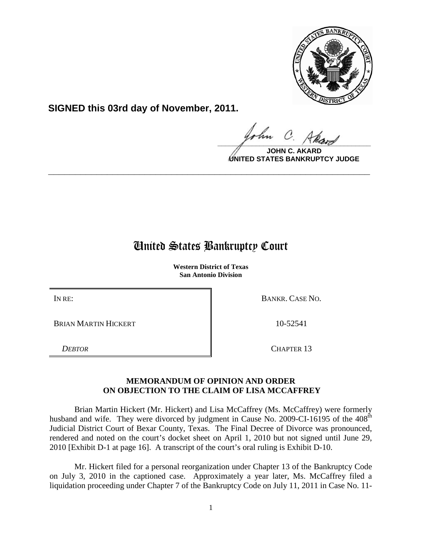

**SIGNED this 03rd day of November, 2011.**

 $\frac{1}{\sqrt{1-\frac{1}{2}}\sqrt{1-\frac{1}{2}}\sqrt{1-\frac{1}{2}}\sqrt{1-\frac{1}{2}}\sqrt{1-\frac{1}{2}}\sqrt{1-\frac{1}{2}}\sqrt{1-\frac{1}{2}}\sqrt{1-\frac{1}{2}}\sqrt{1-\frac{1}{2}}\sqrt{1-\frac{1}{2}}\sqrt{1-\frac{1}{2}}\sqrt{1-\frac{1}{2}}\sqrt{1-\frac{1}{2}}\sqrt{1-\frac{1}{2}}\sqrt{1-\frac{1}{2}}\sqrt{1-\frac{1}{2}}\sqrt{1-\frac{1}{2}}\sqrt{1-\frac{1}{2}}\sqrt{1-\frac{1}{2}}\sqrt{1-\frac$ 

**JOHN C. UNITED STATES BANKRUPTCY JUDGE**

## United States Bankruptcy Court

**\_\_\_\_\_\_\_\_\_\_\_\_\_\_\_\_\_\_\_\_\_\_\_\_\_\_\_\_\_\_\_\_\_\_\_\_\_\_\_\_\_\_\_\_\_\_\_\_\_\_\_\_\_\_\_\_\_\_\_\_**

**Western District of Texas San Antonio Division**

BRIAN MARTIN HICKERT 10-52541

IN RE: BANKR. CASE NO.

*DEBTOR* CHAPTER 13

## **MEMORANDUM OF OPINION AND ORDER ON OBJECTION TO THE CLAIM OF LISA MCCAFFREY**

Brian Martin Hickert (Mr. Hickert) and Lisa McCaffrey (Ms. McCaffrey) were formerly husband and wife. They were divorced by judgment in Cause No. 2009-CI-16195 of the 408<sup>th</sup> Judicial District Court of Bexar County, Texas. The Final Decree of Divorce was pronounced, rendered and noted on the court's docket sheet on April 1, 2010 but not signed until June 29, 2010 [Exhibit D-1 at page 16]. A transcript of the court's oral ruling is Exhibit D-10.

Mr. Hickert filed for a personal reorganization under Chapter 13 of the Bankruptcy Code on July 3, 2010 in the captioned case. Approximately a year later, Ms. McCaffrey filed a liquidation proceeding under Chapter 7 of the Bankruptcy Code on July 11, 2011 in Case No. 11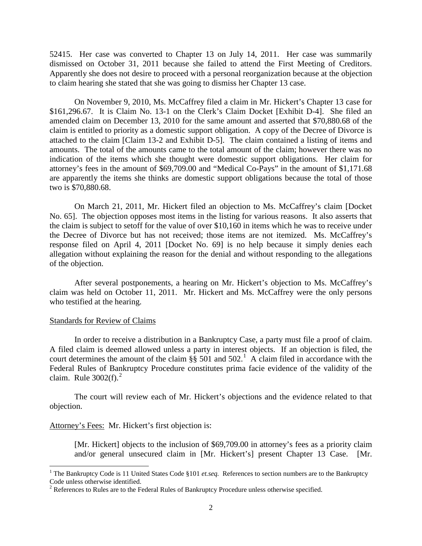52415. Her case was converted to Chapter 13 on July 14, 2011. Her case was summarily dismissed on October 31, 2011 because she failed to attend the First Meeting of Creditors. Apparently she does not desire to proceed with a personal reorganization because at the objection to claim hearing she stated that she was going to dismiss her Chapter 13 case.

On November 9, 2010, Ms. McCaffrey filed a claim in Mr. Hickert's Chapter 13 case for \$161,296.67. It is Claim No. 13-1 on the Clerk's Claim Docket [Exhibit D-4]. She filed an amended claim on December 13, 2010 for the same amount and asserted that \$70,880.68 of the claim is entitled to priority as a domestic support obligation. A copy of the Decree of Divorce is attached to the claim [Claim 13-2 and Exhibit D-5]. The claim contained a listing of items and amounts. The total of the amounts came to the total amount of the claim; however there was no indication of the items which she thought were domestic support obligations. Her claim for attorney's fees in the amount of \$69,709.00 and "Medical Co-Pays" in the amount of \$1,171.68 are apparently the items she thinks are domestic support obligations because the total of those two is \$70,880.68.

On March 21, 2011, Mr. Hickert filed an objection to Ms. McCaffrey's claim [Docket No. 65]. The objection opposes most items in the listing for various reasons. It also asserts that the claim is subject to setoff for the value of over \$10,160 in items which he was to receive under the Decree of Divorce but has not received; those items are not itemized. Ms. McCaffrey's response filed on April 4, 2011 [Docket No. 69] is no help because it simply denies each allegation without explaining the reason for the denial and without responding to the allegations of the objection.

After several postponements, a hearing on Mr. Hickert's objection to Ms. McCaffrey's claim was held on October 11, 2011. Mr. Hickert and Ms. McCaffrey were the only persons who testified at the hearing.

## Standards for Review of Claims

ı

In order to receive a distribution in a Bankruptcy Case, a party must file a proof of claim. A filed claim is deemed allowed unless a party in interest objects. If an objection is filed, the court determines the amount of the claim  $\S$ § 50[1](#page-1-0) and 502.<sup>1</sup> A claim filed in accordance with the Federal Rules of Bankruptcy Procedure constitutes prima facie evidence of the validity of the claim. Rule  $3002(f)$  $3002(f)$  $3002(f)$ .<sup>2</sup>

The court will review each of Mr. Hickert's objections and the evidence related to that objection.

## Attorney's Fees: Mr. Hickert's first objection is:

[Mr. Hickert] objects to the inclusion of \$69,709.00 in attorney's fees as a priority claim and/or general unsecured claim in [Mr. Hickert's] present Chapter 13 Case. [Mr.

<span id="page-1-0"></span><sup>&</sup>lt;sup>1</sup> The Bankruptcy Code is 11 United States Code §101 *et.seq.* References to section numbers are to the Bankruptcy Code unless otherwise identified.

<span id="page-1-1"></span> $2$  References to Rules are to the Federal Rules of Bankruptcy Procedure unless otherwise specified.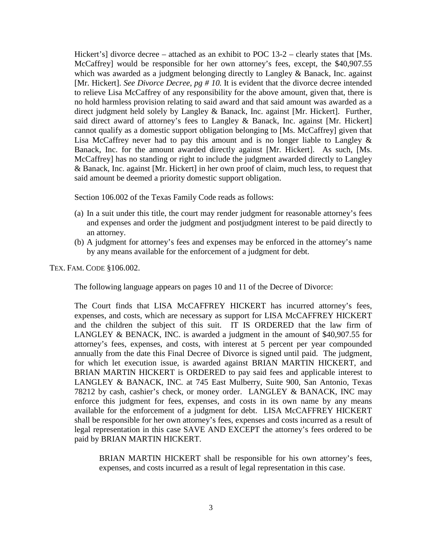Hickert's] divorce decree – attached as an exhibit to POC 13-2 – clearly states that [Ms. McCaffrey] would be responsible for her own attorney's fees, except, the \$40,907.55 which was awarded as a judgment belonging directly to Langley & Banack, Inc. against [Mr. Hickert]. *See Divorce Decree, pg # 10.* It is evident that the divorce decree intended to relieve Lisa McCaffrey of any responsibility for the above amount, given that, there is no hold harmless provision relating to said award and that said amount was awarded as a direct judgment held solely by Langley & Banack, Inc. against [Mr. Hickert]. Further, said direct award of attorney's fees to Langley & Banack, Inc. against [Mr. Hickert] cannot qualify as a domestic support obligation belonging to [Ms. McCaffrey] given that Lisa McCaffrey never had to pay this amount and is no longer liable to Langley  $\&$ Banack, Inc. for the amount awarded directly against [Mr. Hickert]. As such, [Ms. McCaffrey] has no standing or right to include the judgment awarded directly to Langley & Banack, Inc. against [Mr. Hickert] in her own proof of claim, much less, to request that said amount be deemed a priority domestic support obligation.

Section 106.002 of the Texas Family Code reads as follows:

- (a) In a suit under this title, the court may render judgment for reasonable attorney's fees and expenses and order the judgment and postjudgment interest to be paid directly to an attorney.
- (b) A judgment for attorney's fees and expenses may be enforced in the attorney's name by any means available for the enforcement of a judgment for debt.

TEX. FAM. CODE §106.002.

The following language appears on pages 10 and 11 of the Decree of Divorce:

The Court finds that LISA McCAFFREY HICKERT has incurred attorney's fees, expenses, and costs, which are necessary as support for LISA McCAFFREY HICKERT and the children the subject of this suit. IT IS ORDERED that the law firm of LANGLEY & BENACK, INC. is awarded a judgment in the amount of \$40,907.55 for attorney's fees, expenses, and costs, with interest at 5 percent per year compounded annually from the date this Final Decree of Divorce is signed until paid. The judgment, for which let execution issue, is awarded against BRIAN MARTIN HICKERT, and BRIAN MARTIN HICKERT is ORDERED to pay said fees and applicable interest to LANGLEY & BANACK, INC. at 745 East Mulberry, Suite 900, San Antonio, Texas 78212 by cash, cashier's check, or money order. LANGLEY & BANACK, INC may enforce this judgment for fees, expenses, and costs in its own name by any means available for the enforcement of a judgment for debt. LISA McCAFFREY HICKERT shall be responsible for her own attorney's fees, expenses and costs incurred as a result of legal representation in this case SAVE AND EXCEPT the attorney's fees ordered to be paid by BRIAN MARTIN HICKERT.

BRIAN MARTIN HICKERT shall be responsible for his own attorney's fees, expenses, and costs incurred as a result of legal representation in this case.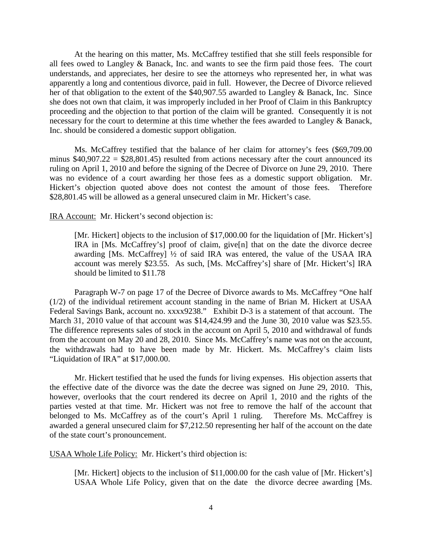At the hearing on this matter, Ms. McCaffrey testified that she still feels responsible for all fees owed to Langley & Banack, Inc. and wants to see the firm paid those fees. The court understands, and appreciates, her desire to see the attorneys who represented her, in what was apparently a long and contentious divorce, paid in full. However, the Decree of Divorce relieved her of that obligation to the extent of the \$40,907.55 awarded to Langley & Banack, Inc. Since she does not own that claim, it was improperly included in her Proof of Claim in this Bankruptcy proceeding and the objection to that portion of the claim will be granted. Consequently it is not necessary for the court to determine at this time whether the fees awarded to Langley & Banack, Inc. should be considered a domestic support obligation.

Ms. McCaffrey testified that the balance of her claim for attorney's fees (\$69,709.00 minus  $$40,907.22 = $28,801.45$  resulted from actions necessary after the court announced its ruling on April 1, 2010 and before the signing of the Decree of Divorce on June 29, 2010. There was no evidence of a court awarding her those fees as a domestic support obligation. Mr. Hickert's objection quoted above does not contest the amount of those fees. Therefore \$28,801.45 will be allowed as a general unsecured claim in Mr. Hickert's case.

IRA Account: Mr. Hickert's second objection is:

[Mr. Hickert] objects to the inclusion of \$17,000.00 for the liquidation of [Mr. Hickert's] IRA in [Ms. McCaffrey's] proof of claim, give[n] that on the date the divorce decree awarding [Ms. McCaffrey] ½ of said IRA was entered, the value of the USAA IRA account was merely \$23.55. As such, [Ms. McCaffrey's] share of [Mr. Hickert's] IRA should be limited to \$11.78

Paragraph W-7 on page 17 of the Decree of Divorce awards to Ms. McCaffrey "One half (1/2) of the individual retirement account standing in the name of Brian M. Hickert at USAA Federal Savings Bank, account no. xxxx9238." Exhibit D-3 is a statement of that account. The March 31, 2010 value of that account was \$14,424.99 and the June 30, 2010 value was \$23.55. The difference represents sales of stock in the account on April 5, 2010 and withdrawal of funds from the account on May 20 and 28, 2010. Since Ms. McCaffrey's name was not on the account, the withdrawals had to have been made by Mr. Hickert. Ms. McCaffrey's claim lists "Liquidation of IRA" at \$17,000.00.

Mr. Hickert testified that he used the funds for living expenses. His objection asserts that the effective date of the divorce was the date the decree was signed on June 29, 2010. This, however, overlooks that the court rendered its decree on April 1, 2010 and the rights of the parties vested at that time. Mr. Hickert was not free to remove the half of the account that belonged to Ms. McCaffrey as of the court's April 1 ruling. Therefore Ms. McCaffrey is awarded a general unsecured claim for \$7,212.50 representing her half of the account on the date of the state court's pronouncement.

USAA Whole Life Policy: Mr. Hickert's third objection is:

[Mr. Hickert] objects to the inclusion of \$11,000.00 for the cash value of [Mr. Hickert's] USAA Whole Life Policy, given that on the date the divorce decree awarding [Ms.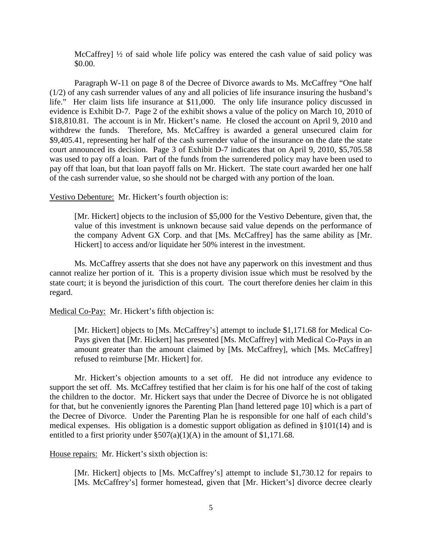McCaffrey]  $\frac{1}{2}$  of said whole life policy was entered the cash value of said policy was \$0.00.

Paragraph W-11 on page 8 of the Decree of Divorce awards to Ms. McCaffrey "One half (1/2) of any cash surrender values of any and all policies of life insurance insuring the husband's life." Her claim lists life insurance at \$11,000. The only life insurance policy discussed in evidence is Exhibit D-7. Page 2 of the exhibit shows a value of the policy on March 10, 2010 of \$18,810.81. The account is in Mr. Hickert's name. He closed the account on April 9, 2010 and withdrew the funds. Therefore, Ms. McCaffrey is awarded a general unsecured claim for \$9,405.41, representing her half of the cash surrender value of the insurance on the date the state court announced its decision. Page 3 of Exhibit D-7 indicates that on April 9, 2010, \$5,705.58 was used to pay off a loan. Part of the funds from the surrendered policy may have been used to pay off that loan, but that loan payoff falls on Mr. Hickert. The state court awarded her one half of the cash surrender value, so she should not be charged with any portion of the loan.

Vestivo Debenture: Mr. Hickert's fourth objection is:

[Mr. Hickert] objects to the inclusion of \$5,000 for the Vestivo Debenture, given that, the value of this investment is unknown because said value depends on the performance of the company Advent GX Corp. and that [Ms. McCaffrey] has the same ability as [Mr. Hickert] to access and/or liquidate her 50% interest in the investment.

Ms. McCaffrey asserts that she does not have any paperwork on this investment and thus cannot realize her portion of it. This is a property division issue which must be resolved by the state court; it is beyond the jurisdiction of this court. The court therefore denies her claim in this regard.

Medical Co-Pay: Mr. Hickert's fifth objection is:

[Mr. Hickert] objects to [Ms. McCaffrey's] attempt to include \$1,171.68 for Medical Co-Pays given that [Mr. Hickert] has presented [Ms. McCaffrey] with Medical Co-Pays in an amount greater than the amount claimed by [Ms. McCaffrey], which [Ms. McCaffrey] refused to reimburse [Mr. Hickert] for.

Mr. Hickert's objection amounts to a set off. He did not introduce any evidence to support the set off. Ms. McCaffrey testified that her claim is for his one half of the cost of taking the children to the doctor. Mr. Hickert says that under the Decree of Divorce he is not obligated for that, but he conveniently ignores the Parenting Plan [hand lettered page 10] which is a part of the Decree of Divorce. Under the Parenting Plan he is responsible for one half of each child's medical expenses. His obligation is a domestic support obligation as defined in §101(14) and is entitled to a first priority under  $\S 507(a)(1)(A)$  in the amount of \$1,171.68.

House repairs: Mr. Hickert's sixth objection is:

[Mr. Hickert] objects to [Ms. McCaffrey's] attempt to include \$1,730.12 for repairs to [Ms. McCaffrey's] former homestead, given that [Mr. Hickert's] divorce decree clearly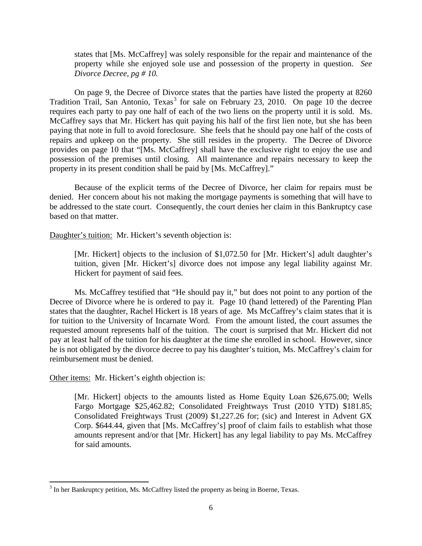states that [Ms. McCaffrey] was solely responsible for the repair and maintenance of the property while she enjoyed sole use and possession of the property in question. *See Divorce Decree, pg # 10.*

On page 9, the Decree of Divorce states that the parties have listed the property at 8260 Tradition Trail, San Antonio,  $T$ exas<sup>[3](#page-5-0)</sup> for sale on February 23, 2010. On page 10 the decree requires each party to pay one half of each of the two liens on the property until it is sold. Ms. McCaffrey says that Mr. Hickert has quit paying his half of the first lien note, but she has been paying that note in full to avoid foreclosure. She feels that he should pay one half of the costs of repairs and upkeep on the property. She still resides in the property. The Decree of Divorce provides on page 10 that "[Ms. McCaffrey] shall have the exclusive right to enjoy the use and possession of the premises until closing. All maintenance and repairs necessary to keep the property in its present condition shall be paid by [Ms. McCaffrey]."

Because of the explicit terms of the Decree of Divorce, her claim for repairs must be denied. Her concern about his not making the mortgage payments is something that will have to be addressed to the state court. Consequently, the court denies her claim in this Bankruptcy case based on that matter.

Daughter's tuition: Mr. Hickert's seventh objection is:

[Mr. Hickert] objects to the inclusion of \$1,072.50 for [Mr. Hickert's] adult daughter's tuition, given [Mr. Hickert's] divorce does not impose any legal liability against Mr. Hickert for payment of said fees.

Ms. McCaffrey testified that "He should pay it," but does not point to any portion of the Decree of Divorce where he is ordered to pay it. Page 10 (hand lettered) of the Parenting Plan states that the daughter, Rachel Hickert is 18 years of age. Ms McCaffrey's claim states that it is for tuition to the University of Incarnate Word. From the amount listed, the court assumes the requested amount represents half of the tuition. The court is surprised that Mr. Hickert did not pay at least half of the tuition for his daughter at the time she enrolled in school. However, since he is not obligated by the divorce decree to pay his daughter's tuition, Ms. McCaffrey's claim for reimbursement must be denied.

Other items: Mr. Hickert's eighth objection is:

 $\overline{\phantom{0}}$ 

[Mr. Hickert] objects to the amounts listed as Home Equity Loan \$26,675.00; Wells Fargo Mortgage \$25,462.82; Consolidated Freightways Trust (2010 YTD) \$181.85; Consolidated Freightways Trust (2009) \$1,227.26 for; (sic) and Interest in Advent GX Corp. \$644.44, given that [Ms. McCaffrey's] proof of claim fails to establish what those amounts represent and/or that [Mr. Hickert] has any legal liability to pay Ms. McCaffrey for said amounts.

<span id="page-5-0"></span> $3$  In her Bankruptcy petition, Ms. McCaffrey listed the property as being in Boerne, Texas.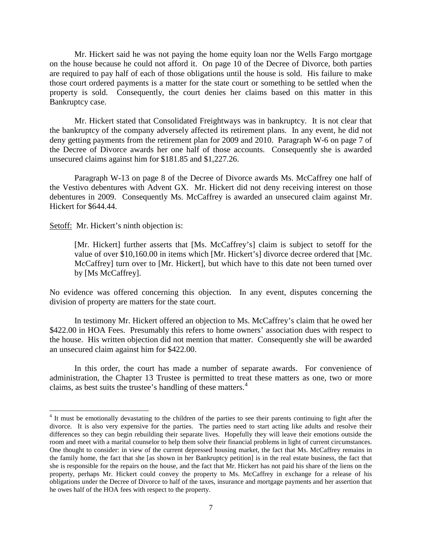Mr. Hickert said he was not paying the home equity loan nor the Wells Fargo mortgage on the house because he could not afford it. On page 10 of the Decree of Divorce, both parties are required to pay half of each of those obligations until the house is sold. His failure to make those court ordered payments is a matter for the state court or something to be settled when the property is sold. Consequently, the court denies her claims based on this matter in this Bankruptcy case.

Mr. Hickert stated that Consolidated Freightways was in bankruptcy. It is not clear that the bankruptcy of the company adversely affected its retirement plans. In any event, he did not deny getting payments from the retirement plan for 2009 and 2010. Paragraph W-6 on page 7 of the Decree of Divorce awards her one half of those accounts. Consequently she is awarded unsecured claims against him for \$181.85 and \$1,227.26.

Paragraph W-13 on page 8 of the Decree of Divorce awards Ms. McCaffrey one half of the Vestivo debentures with Advent GX. Mr. Hickert did not deny receiving interest on those debentures in 2009. Consequently Ms. McCaffrey is awarded an unsecured claim against Mr. Hickert for \$644.44.

Setoff: Mr. Hickert's ninth objection is:

 $\overline{\phantom{0}}$ 

[Mr. Hickert] further asserts that [Ms. McCaffrey's] claim is subject to setoff for the value of over \$10,160.00 in items which [Mr. Hickert's] divorce decree ordered that [Mc. McCaffrey] turn over to [Mr. Hickert], but which have to this date not been turned over by [Ms McCaffrey].

No evidence was offered concerning this objection. In any event, disputes concerning the division of property are matters for the state court.

In testimony Mr. Hickert offered an objection to Ms. McCaffrey's claim that he owed her \$422.00 in HOA Fees. Presumably this refers to home owners' association dues with respect to the house. His written objection did not mention that matter. Consequently she will be awarded an unsecured claim against him for \$422.00.

In this order, the court has made a number of separate awards. For convenience of administration, the Chapter 13 Trustee is permitted to treat these matters as one, two or more claims, as best suits the trustee's handling of these matters.<sup>[4](#page-6-0)</sup>

<span id="page-6-0"></span><sup>&</sup>lt;sup>4</sup> It must be emotionally devastating to the children of the parties to see their parents continuing to fight after the divorce. It is also very expensive for the parties. The parties need to start acting like adults and resolve their differences so they can begin rebuilding their separate lives. Hopefully they will leave their emotions outside the room and meet with a marital counselor to help them solve their financial problems in light of current circumstances. One thought to consider: in view of the current depressed housing market, the fact that Ms. McCaffrey remains in the family home, the fact that she [as shown in her Bankruptcy petition] is in the real estate business, the fact that she is responsible for the repairs on the house, and the fact that Mr. Hickert has not paid his share of the liens on the property, perhaps Mr. Hickert could convey the property to Ms. McCaffrey in exchange for a release of his obligations under the Decree of Divorce to half of the taxes, insurance and mortgage payments and her assertion that he owes half of the HOA fees with respect to the property.